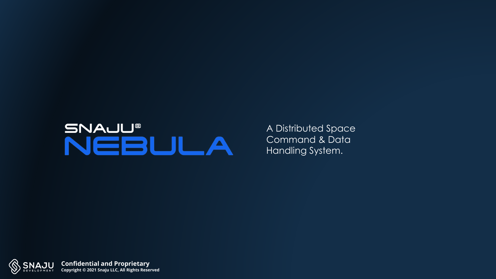# SNAUU®<br>NEBULA

A Distributed Space Command & Data Handling System.

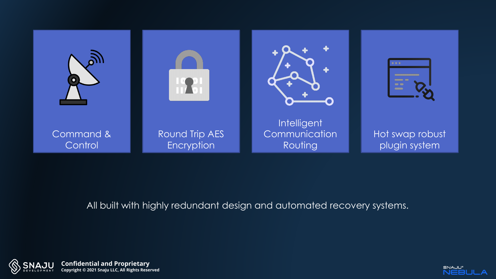

#### All built with highly redundant design and automated recovery systems.



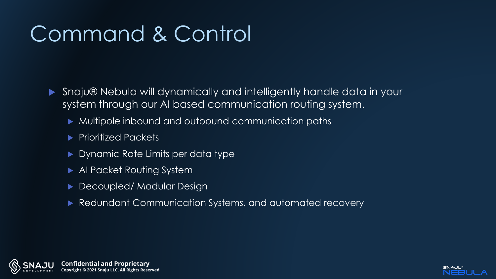### Command & Control

- ▶ Snaju® Nebula will dynamically and intelligently handle data in your system through our AI based communication routing system.
	- Multipole inbound and outbound communication paths
	- Prioritized Packets
	- Dynamic Rate Limits per data type
	- AI Packet Routing System
	- Decoupled/ Modular Design
	- Redundant Communication Systems, and automated recovery



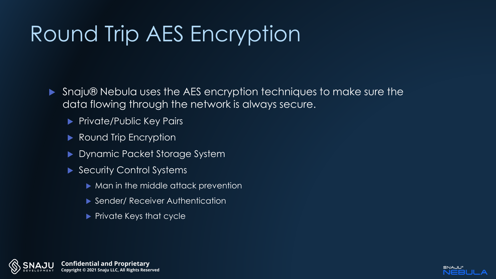## Round Trip AES Encryption

- ▶ Snaju® Nebula uses the AES encryption techniques to make sure the data flowing through the network is always secure.
	- **Private/Public Key Pairs**
	- ▶ Round Trip Encryption
	- Dynamic Packet Storage System
	- ▶ Security Control Systems
		- ▶ Man in the middle attack prevention
		- Sender/Receiver Authentication
		- $\blacktriangleright$  Private Keys that cycle



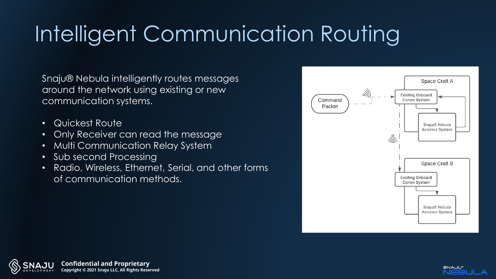# Intelligent Communication Routing

Snaju® Nebula intelligently routes messages around the network using existing or new communication systems.

- Quickest Route
- Only Receiver can read the message
- Multi Communication Relay System
- Sub second Processing
- Radio, Wireless, Ethernet, Serial, and other forms of communication methods.





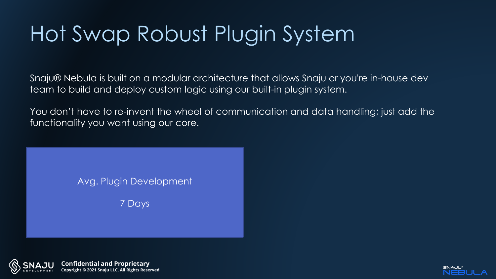# Hot Swap Robust Plugin System

Snaju® Nebula is built on a modular architecture that allows Snaju or you're in-house dev team to build and deploy custom logic using our built-in plugin system.

You don't have to re-invent the wheel of communication and data handling; just add the functionality you want using our core.

Avg. Plugin Development

7 Days



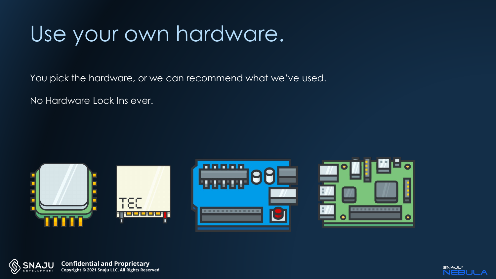#### Use your own hardware.

You pick the hardware, or we can recommend what we've used.

No Hardware Lock Ins ever.





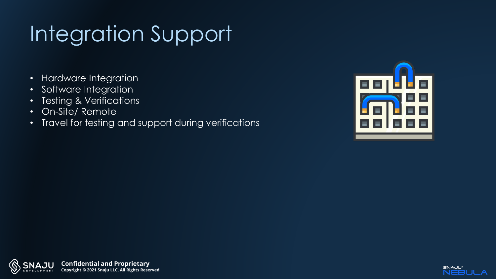# Integration Support

- Hardware Integration
- Software Integration
- Testing & Verifications
- On-Site/ Remote
- Travel for testing and support during verifications